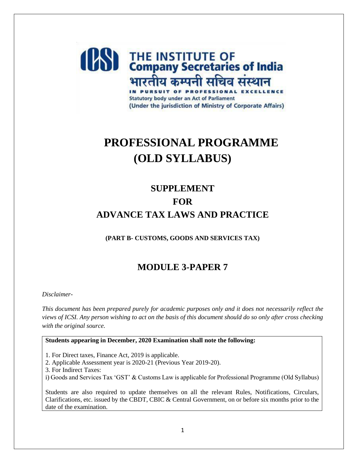## **(BS)** THE INSTITUTE OF भारतीय कम्पनी सचिव संस्थान IN PURSUIT OF PROFESSIONAL **Statutory body under an Act of Parliament** (Under the jurisdiction of Ministry of Corporate Affairs)

# **PROFESSIONAL PROGRAMME (OLD SYLLABUS)**

## **SUPPLEMENT FOR ADVANCE TAX LAWS AND PRACTICE**

**(PART B- CUSTOMS, GOODS AND SERVICES TAX)**

## **MODULE 3-PAPER 7**

*Disclaimer-*

*This document has been prepared purely for academic purposes only and it does not necessarily reflect the views of ICSI. Any person wishing to act on the basis of this document should do so only after cross checking with the original source.*

**Students appearing in December, 2020 Examination shall note the following:** 

1. For Direct taxes, Finance Act, 2019 is applicable.

2. Applicable Assessment year is 2020-21 (Previous Year 2019-20).

3. For Indirect Taxes:

i) Goods and Services Tax 'GST' & Customs Law is applicable for Professional Programme (Old Syllabus)

Students are also required to update themselves on all the relevant Rules, Notifications, Circulars, Clarifications, etc. issued by the CBDT, CBIC & Central Government, on or before six months prior to the date of the examination.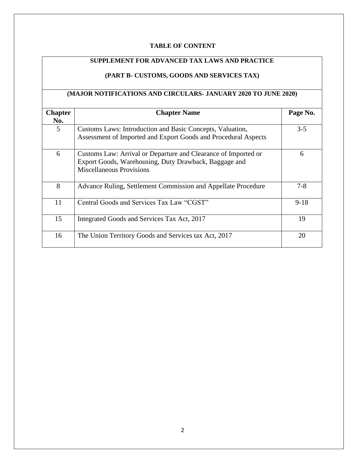#### **TABLE OF CONTENT**

## **SUPPLEMENT FOR ADVANCED TAX LAWS AND PRACTICE**

## **(PART B- CUSTOMS, GOODS AND SERVICES TAX)**

### **(MAJOR NOTIFICATIONS AND CIRCULARS- JANUARY 2020 TO JUNE 2020)**

| <b>Chapter</b> | <b>Chapter Name</b>                                                                                                                                        | Page No. |
|----------------|------------------------------------------------------------------------------------------------------------------------------------------------------------|----------|
| No.            |                                                                                                                                                            |          |
| 5              | Customs Laws: Introduction and Basic Concepts, Valuation,<br>Assessment of Imported and Export Goods and Procedural Aspects                                | $3 - 5$  |
| 6              | Customs Law: Arrival or Departure and Clearance of Imported or<br>Export Goods, Warehousing, Duty Drawback, Baggage and<br><b>Miscellaneous Provisions</b> | 6        |
| 8              | Advance Ruling, Settlement Commission and Appellate Procedure                                                                                              | $7 - 8$  |
| 11             | Central Goods and Services Tax Law "CGST"                                                                                                                  | $9-18$   |
| 15             | Integrated Goods and Services Tax Act, 2017                                                                                                                | 19       |
| 16             | The Union Territory Goods and Services tax Act, 2017                                                                                                       | 20       |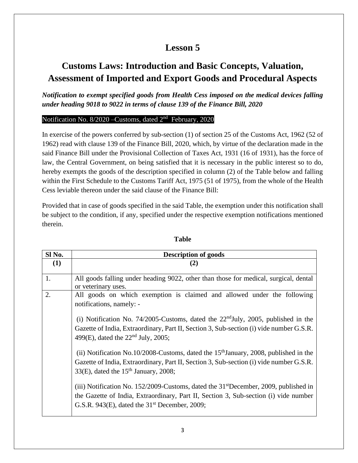## **Customs Laws: Introduction and Basic Concepts, Valuation, Assessment of Imported and Export Goods and Procedural Aspects**

*Notification to exempt specified goods from Health Cess imposed on the medical devices falling under heading 9018 to 9022 in terms of clause 139 of the Finance Bill, 2020*

### Notification No. 8/2020 – Customs, dated 2<sup>nd</sup> February, 2020

In exercise of the powers conferred by sub-section (1) of section 25 of the Customs Act, 1962 (52 of 1962) read with clause 139 of the Finance Bill, 2020, which, by virtue of the declaration made in the said Finance Bill under the Provisional Collection of Taxes Act, 1931 (16 of 1931), has the force of law, the Central Government, on being satisfied that it is necessary in the public interest so to do, hereby exempts the goods of the description specified in column (2) of the Table below and falling within the First Schedule to the Customs Tariff Act, 1975 (51 of 1975), from the whole of the Health Cess leviable thereon under the said clause of the Finance Bill:

Provided that in case of goods specified in the said Table, the exemption under this notification shall be subject to the condition, if any, specified under the respective exemption notifications mentioned therein.

| Sl <sub>No.</sub> | <b>Description of goods</b>                                                                                                                                                    |  |  |
|-------------------|--------------------------------------------------------------------------------------------------------------------------------------------------------------------------------|--|--|
| (1)               | (2)                                                                                                                                                                            |  |  |
|                   |                                                                                                                                                                                |  |  |
| 1.                | All goods falling under heading 9022, other than those for medical, surgical, dental                                                                                           |  |  |
|                   | or veterinary uses.                                                                                                                                                            |  |  |
| 2.                | All goods on which exemption is claimed and allowed under the following                                                                                                        |  |  |
|                   | notifications, namely: -                                                                                                                                                       |  |  |
|                   |                                                                                                                                                                                |  |  |
|                   | (i) Notification No. 74/2005-Customs, dated the $22nd$ July, 2005, published in the<br>Gazette of India, Extraordinary, Part II, Section 3, Sub-section (i) vide number G.S.R. |  |  |
|                   |                                                                                                                                                                                |  |  |
|                   | 499(E), dated the $22nd$ July, 2005;                                                                                                                                           |  |  |
|                   |                                                                                                                                                                                |  |  |
|                   | (ii) Notification No.10/2008-Customs, dated the $15th$ January, 2008, published in the                                                                                         |  |  |
|                   | Gazette of India, Extraordinary, Part II, Section 3, Sub-section (i) vide number G.S.R.                                                                                        |  |  |
|                   | $33(E)$ , dated the $15th$ January, 2008;                                                                                                                                      |  |  |
|                   |                                                                                                                                                                                |  |  |
|                   | (iii) Notification No. 152/2009-Customs, dated the 31 <sup>st</sup> December, 2009, published in                                                                               |  |  |
|                   | the Gazette of India, Extraordinary, Part II, Section 3, Sub-section (i) vide number                                                                                           |  |  |
|                   | G.S.R. 943 $(E)$ , dated the 31 <sup>st</sup> December, 2009;                                                                                                                  |  |  |
|                   |                                                                                                                                                                                |  |  |

#### **Table**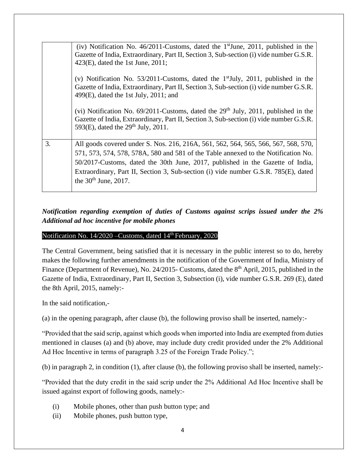|    | (iv) Notification No. 46/2011-Customs, dated the $1^{\text{st}}$ June, 2011, published in the<br>Gazette of India, Extraordinary, Part II, Section 3, Sub-section (i) vide number G.S.R.<br>$423(E)$ , dated the 1st June, 2011;                                                                                                                                            |
|----|-----------------------------------------------------------------------------------------------------------------------------------------------------------------------------------------------------------------------------------------------------------------------------------------------------------------------------------------------------------------------------|
|    | (v) Notification No. 53/2011-Customs, dated the $1st$ July, 2011, published in the<br>Gazette of India, Extraordinary, Part II, Section 3, Sub-section (i) vide number G.S.R.<br>$499(E)$ , dated the 1st July, 2011; and                                                                                                                                                   |
|    | (vi) Notification No. $69/2011$ -Customs, dated the $29th$ July, 2011, published in the<br>Gazette of India, Extraordinary, Part II, Section 3, Sub-section (i) vide number G.S.R.<br>593(E), dated the $29th$ July, 2011.                                                                                                                                                  |
| 3. | All goods covered under S. Nos. 216, 216A, 561, 562, 564, 565, 566, 567, 568, 570,<br>571, 573, 574, 578, 578A, 580 and 581 of the Table annexed to the Notification No.<br>50/2017-Customs, dated the 30th June, 2017, published in the Gazette of India,<br>Extraordinary, Part II, Section 3, Sub-section (i) vide number G.S.R. 785(E), dated<br>the $30th$ June, 2017. |

## *Notification regarding exemption of duties of Customs against scrips issued under the 2% Additional ad hoc incentive for mobile phones*

#### Notification No. 14/2020 – Customs, dated 14<sup>th</sup> February, 2020

The Central Government, being satisfied that it is necessary in the public interest so to do, hereby makes the following further amendments in the notification of the Government of India, Ministry of Finance (Department of Revenue), No. 24/2015- Customs, dated the 8<sup>th</sup> April, 2015, published in the Gazette of India, Extraordinary, Part II, Section 3, Subsection (i), vide number G.S.R. 269 (E), dated the 8th April, 2015, namely:-

In the said notification,-

(a) in the opening paragraph, after clause (b), the following proviso shall be inserted, namely:-

"Provided that the said scrip, against which goods when imported into India are exempted from duties mentioned in clauses (a) and (b) above, may include duty credit provided under the 2% Additional Ad Hoc Incentive in terms of paragraph 3.25 of the Foreign Trade Policy.";

(b) in paragraph 2, in condition (1), after clause (b), the following proviso shall be inserted, namely:-

"Provided that the duty credit in the said scrip under the 2% Additional Ad Hoc Incentive shall be issued against export of following goods, namely:-

- (i) Mobile phones, other than push button type; and
- (ii) Mobile phones, push button type,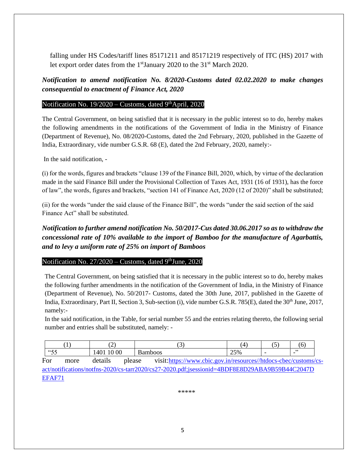falling under HS Codes/tariff lines 85171211 and 85171219 respectively of ITC (HS) 2017 with let export order dates from the 1<sup>st</sup>January 2020 to the 31<sup>st</sup> March 2020.

*Notification to amend notification No. 8/2020-Customs dated 02.02.2020 to make changes consequential to enactment of Finance Act, 2020*

#### Notification No. 19/2020 – Customs, dated 9<sup>th</sup>April, 2020

The Central Government, on being satisfied that it is necessary in the public interest so to do, hereby makes the following amendments in the notifications of the Government of India in the Ministry of Finance (Department of Revenue), No. 08/2020-Customs, dated the 2nd February, 2020, published in the Gazette of India, Extraordinary, vide number G.S.R. 68 (E), dated the 2nd February, 2020, namely:-

In the said notification, -

[EFAF71](https://www.cbic.gov.in/resources/htdocs-cbec/customs/cs-act/notifications/notfns-2020/cs-tarr2020/cs27-2020.pdf;jsessionid=4BDF8E8D29ABA9B59B44C2047D%20EFAF71)

(i) for the words, figures and brackets "clause 139 of the Finance Bill, 2020, which, by virtue of the declaration made in the said Finance Bill under the Provisional Collection of Taxes Act, 1931 (16 of 1931), has the force of law", the words, figures and brackets, "section 141 of Finance Act, 2020 (12 of 2020)" shall be substituted;

(ii) for the words "under the said clause of the Finance Bill", the words "under the said section of the said Finance Act" shall be substituted.

*Notification to further amend notification No. 50/2017-Cus dated 30.06.2017 so as to withdraw the concessional rate of 10% available to the import of Bamboo for the manufacture of Agarbattis, and to levy a uniform rate of 25% on import of Bamboos* 

#### Notification No.  $27/2020$  – Customs, dated 9<sup>th</sup>June, 2020

The Central Government, on being satisfied that it is necessary in the public interest so to do, hereby makes the following further amendments in the notification of the Government of India, in the Ministry of Finance (Department of Revenue), No. 50/2017- Customs, dated the 30th June, 2017, published in the Gazette of India, Extraordinary, Part II, Section 3, Sub-section (i), vide number G.S.R. 785(E), dated the 30<sup>th</sup> June, 2017, namely:-

In the said notification, in the Table, for serial number 55 and the entries relating thereto, the following serial number and entries shall be substituted, namely: -

|                                                                                               |      | ∼                 |                                                                  | (4) |  | (6) |  |
|-----------------------------------------------------------------------------------------------|------|-------------------|------------------------------------------------------------------|-----|--|-----|--|
| <i>"55</i>                                                                                    |      | 1401 10 00        | <b>Bamboos</b>                                                   | 25% |  |     |  |
| For                                                                                           | more | details<br>please | visit:https://www.cbic.gov.in/resources//htdocs-cbec/customs/cs- |     |  |     |  |
| act/notifications/notfns-2020/cs-tarr2020/cs27-2020.pdf;jsessionid=4BDF8E8D29ABA9B59B44C2047D |      |                   |                                                                  |     |  |     |  |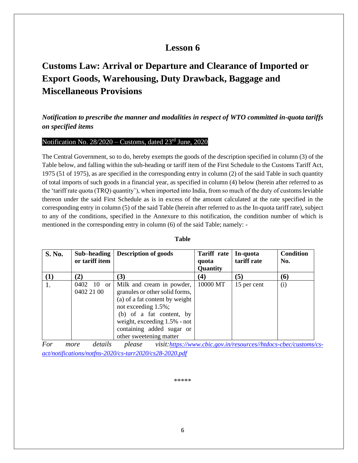## **Customs Law: Arrival or Departure and Clearance of Imported or Export Goods, Warehousing, Duty Drawback, Baggage and Miscellaneous Provisions**

### *Notification to prescribe the manner and modalities in respect of WTO committed in-quota tariffs on specified items*

#### Notification No.  $28/2020$  – Customs, dated  $23<sup>rd</sup>$  June, 2020

The Central Government, so to do, hereby exempts the goods of the description specified in column (3) of the Table below, and falling within the sub-heading or tariff item of the First Schedule to the Customs Tariff Act, 1975 (51 of 1975), as are specified in the corresponding entry in column (2) of the said Table in such quantity of total imports of such goods in a financial year, as specified in column (4) below (herein after referred to as the 'tariff rate quota (TRQ) quantity'), when imported into India, from so much of the duty of customs leviable thereon under the said First Schedule as is in excess of the amount calculated at the rate specified in the corresponding entry in column (5) of the said Table (herein after referred to as the In-quota tariff rate), subject to any of the conditions, specified in the Annexure to this notification, the condition number of which is mentioned in the corresponding entry in column (6) of the said Table; namely: -

| <b>S. No.</b> | Sub-heading<br>or tariff item             | <b>Description of goods</b>                                                                                                                                                                                                              | <b>Tariff</b> rate<br>quota<br>Quantity | In-quota<br>tariff rate | <b>Condition</b><br>No. |
|---------------|-------------------------------------------|------------------------------------------------------------------------------------------------------------------------------------------------------------------------------------------------------------------------------------------|-----------------------------------------|-------------------------|-------------------------|
| $\mathbf{I}$  | (2)                                       | (3)                                                                                                                                                                                                                                      | (4)                                     | (5)                     | (6)                     |
|               | 0402<br>10<br><sub>or</sub><br>0402 21 00 | Milk and cream in powder,<br>granules or other solid forms,<br>(a) of a fat content by weight<br>not exceeding 1.5%;<br>(b) of a fat content, by<br>weight, exceeding 1.5% - not<br>containing added sugar or<br>other sweetening matter | 10000 MT                                | 15 per cent             | (i)                     |

#### **Table**

*For more details please visit:[https://www.cbic.gov.in/resources//htdocs-cbec/customs/cs](https://www.cbic.gov.in/resources/htdocs-cbec/customs/cs-act/notifications/notfns-2020/cs-tarr2020/cs28-2020.pdf)[act/notifications/notfns-2020/cs-tarr2020/cs28-2020.pdf](https://www.cbic.gov.in/resources/htdocs-cbec/customs/cs-act/notifications/notfns-2020/cs-tarr2020/cs28-2020.pdf)*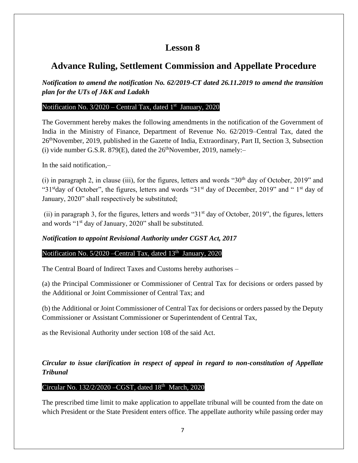## **Advance Ruling, Settlement Commission and Appellate Procedure**

*Notification to amend the notification No. 62/2019-CT dated 26.11.2019 to amend the transition plan for the UTs of J&K and Ladakh*

#### Notification No. 3/2020 – Central Tax, dated 1<sup>st</sup> January, 2020

The Government hereby makes the following amendments in the notification of the Government of India in the Ministry of Finance, Department of Revenue No. 62/2019–Central Tax, dated the 26thNovember, 2019, published in the Gazette of India, Extraordinary, Part II, Section 3, Subsection (i) vide number G.S.R. 879 $(E)$ , dated the 26<sup>th</sup>November, 2019, namely:-

In the said notification,–

(i) in paragraph 2, in clause (iii), for the figures, letters and words " $30<sup>th</sup>$  day of October, 2019" and "31<sup>st</sup>day of October", the figures, letters and words "31<sup>st</sup> day of December, 2019" and "1<sup>st</sup> day of January, 2020" shall respectively be substituted;

(ii) in paragraph 3, for the figures, letters and words "31st day of October, 2019", the figures, letters and words "1<sup>st</sup> day of January, 2020" shall be substituted.

### *Notification to appoint Revisional Authority under CGST Act, 2017*

### Notification No. 5/2020 – Central Tax, dated 13<sup>th</sup> January, 2020

The Central Board of Indirect Taxes and Customs hereby authorises –

(a) the Principal Commissioner or Commissioner of Central Tax for decisions or orders passed by the Additional or Joint Commissioner of Central Tax; and

(b) the Additional or Joint Commissioner of Central Tax for decisions or orders passed by the Deputy Commissioner or Assistant Commissioner or Superintendent of Central Tax,

as the Revisional Authority under section 108 of the said Act.

### *Circular to issue clarification in respect of appeal in regard to non-constitution of Appellate Tribunal*

### Circular No. 132/2/2020 - CGST, dated 18<sup>th</sup> March, 2020

The prescribed time limit to make application to appellate tribunal will be counted from the date on which President or the State President enters office. The appellate authority while passing order may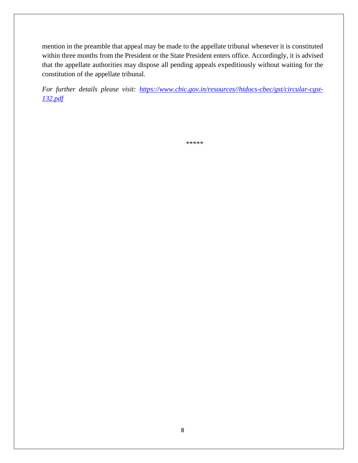mention in the preamble that appeal may be made to the appellate tribunal whenever it is constituted within three months from the President or the State President enters office. Accordingly, it is advised that the appellate authorities may dispose all pending appeals expeditiously without waiting for the constitution of the appellate tribunal.

*For further details please visit: [https://www.cbic.gov.in/resources//htdocs-cbec/gst/circular-cgst-](https://www.cbic.gov.in/resources/htdocs-cbec/gst/circular-cgst-132.pdf)[132.pdf](https://www.cbic.gov.in/resources/htdocs-cbec/gst/circular-cgst-132.pdf)*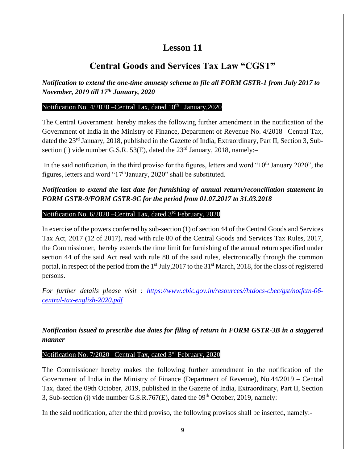## **Central Goods and Services Tax Law "CGST"**

*Notification to extend the one-time amnesty scheme to file all FORM GSTR-1 from July 2017 to November, 2019 till 17th January, 2020*

#### Notification No. 4/2020 – Central Tax, dated 10<sup>th</sup> January, 2020

The Central Government hereby makes the following further amendment in the notification of the Government of India in the Ministry of Finance, Department of Revenue No. 4/2018– Central Tax, dated the 23<sup>rd</sup> January, 2018, published in the Gazette of India, Extraordinary, Part II, Section 3, Subsection (i) vide number G.S.R. 53(E), dated the  $23<sup>rd</sup>$  January, 2018, namely:-

In the said notification, in the third proviso for the figures, letters and word "10<sup>th</sup> January 2020", the figures, letters and word " $17<sup>th</sup>$ January, 2020" shall be substituted.

### *Notification to extend the last date for furnishing of annual return/reconciliation statement in FORM GSTR-9/FORM GSTR-9C for the period from 01.07.2017 to 31.03.2018*

#### Notification No. 6/2020 – Central Tax, dated 3<sup>rd</sup> February, 2020

In exercise of the powers conferred by sub-section (1) of section 44 of the Central Goods and Services Tax Act, 2017 (12 of 2017), read with rule 80 of the Central Goods and Services Tax Rules, 2017, the Commissioner, hereby extends the time limit for furnishing of the annual return specified under section 44 of the said Act read with rule 80 of the said rules, electronically through the common portal, in respect of the period from the 1<sup>st</sup> July,2017 to the 31<sup>st</sup> March, 2018, for the class of registered persons.

*For further details please visit : [https://www.cbic.gov.in/resources//htdocs-cbec/gst/notfctn-06](https://www.cbic.gov.in/resources/htdocs-cbec/gst/notfctn-06-central-tax-english-2020.pdf) [central-tax-english-2020.pdf](https://www.cbic.gov.in/resources/htdocs-cbec/gst/notfctn-06-central-tax-english-2020.pdf)*

*Notification issued to prescribe due dates for filing of return in FORM GSTR-3B in a staggered manner*

#### Notification No. 7/2020 – Central Tax, dated 3<sup>rd</sup> February, 2020

The Commissioner hereby makes the following further amendment in the notification of the Government of India in the Ministry of Finance (Department of Revenue), No.44/2019 – Central Tax, dated the 09th October, 2019, published in the Gazette of India, Extraordinary, Part II, Section 3, Sub-section (i) vide number G.S.R.767 $(E)$ , dated the 09<sup>th</sup> October, 2019, namely:-

In the said notification, after the third proviso, the following provisos shall be inserted, namely:-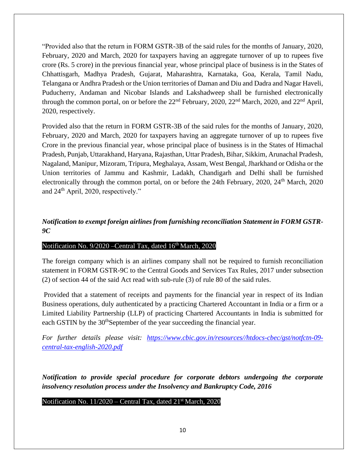"Provided also that the return in FORM GSTR-3B of the said rules for the months of January, 2020, February, 2020 and March, 2020 for taxpayers having an aggregate turnover of up to rupees five crore (Rs. 5 crore) in the previous financial year, whose principal place of business is in the States of Chhattisgarh, Madhya Pradesh, Gujarat, Maharashtra, Karnataka, Goa, Kerala, Tamil Nadu, Telangana or Andhra Pradesh or the Union territories of Daman and Diu and Dadra and Nagar Haveli, Puducherry, Andaman and Nicobar Islands and Lakshadweep shall be furnished electronically through the common portal, on or before the  $22<sup>nd</sup>$  February, 2020,  $22<sup>nd</sup>$  March, 2020, and  $22<sup>nd</sup>$  April, 2020, respectively.

Provided also that the return in FORM GSTR-3B of the said rules for the months of January, 2020, February, 2020 and March, 2020 for taxpayers having an aggregate turnover of up to rupees five Crore in the previous financial year, whose principal place of business is in the States of Himachal Pradesh, Punjab, Uttarakhand, Haryana, Rajasthan, Uttar Pradesh, Bihar, Sikkim, Arunachal Pradesh, Nagaland, Manipur, Mizoram, Tripura, Meghalaya, Assam, West Bengal, Jharkhand or Odisha or the Union territories of Jammu and Kashmir, Ladakh, Chandigarh and Delhi shall be furnished electronically through the common portal, on or before the 24th February, 2020, 24<sup>th</sup> March, 2020 and 24th April, 2020, respectively."

### *Notification to exempt foreign airlines from furnishing reconciliation Statement in FORM GSTR-9C*

#### Notification No. 9/2020 – Central Tax, dated 16<sup>th</sup> March, 2020

The foreign company which is an airlines company shall not be required to furnish reconciliation statement in FORM GSTR-9C to the Central Goods and Services Tax Rules, 2017 under subsection (2) of section 44 of the said Act read with sub-rule (3) of rule 80 of the said rules.

Provided that a statement of receipts and payments for the financial year in respect of its Indian Business operations, duly authenticated by a practicing Chartered Accountant in India or a firm or a Limited Liability Partnership (LLP) of practicing Chartered Accountants in India is submitted for each GSTIN by the 30<sup>th</sup>September of the year succeeding the financial year.

*For further details please visit: [https://www.cbic.gov.in/resources//htdocs-cbec/gst/notfctn-09](https://www.cbic.gov.in/resources/htdocs-cbec/gst/notfctn-09-central-tax-english-2020.pdf) [central-tax-english-2020.pdf](https://www.cbic.gov.in/resources/htdocs-cbec/gst/notfctn-09-central-tax-english-2020.pdf)*

*Notification to provide special procedure for corporate debtors undergoing the corporate insolvency resolution process under the Insolvency and Bankruptcy Code, 2016*

Notification No. 11/2020 – Central Tax, dated 21<sup>st</sup> March, 2020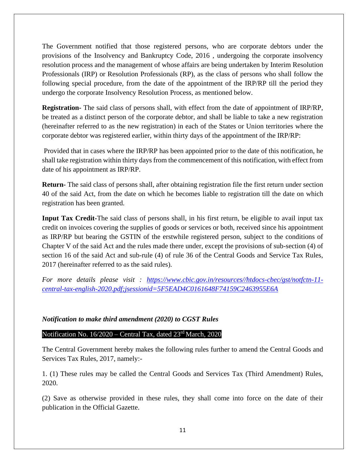The Government notified that those registered persons, who are corporate debtors under the provisions of the Insolvency and Bankruptcy Code, 2016 , undergoing the corporate insolvency resolution process and the management of whose affairs are being undertaken by Interim Resolution Professionals (IRP) or Resolution Professionals (RP), as the class of persons who shall follow the following special procedure, from the date of the appointment of the IRP/RP till the period they undergo the corporate Insolvency Resolution Process, as mentioned below.

**Registration-** The said class of persons shall, with effect from the date of appointment of IRP/RP, be treated as a distinct person of the corporate debtor, and shall be liable to take a new registration (hereinafter referred to as the new registration) in each of the States or Union territories where the corporate debtor was registered earlier, within thirty days of the appointment of the IRP/RP:

Provided that in cases where the IRP/RP has been appointed prior to the date of this notification, he shall take registration within thirty days from the commencement of this notification, with effect from date of his appointment as IRP/RP.

**Return-** The said class of persons shall, after obtaining registration file the first return under section 40 of the said Act, from the date on which he becomes liable to registration till the date on which registration has been granted.

**Input Tax Credit-**The said class of persons shall, in his first return, be eligible to avail input tax credit on invoices covering the supplies of goods or services or both, received since his appointment as IRP/RP but bearing the GSTIN of the erstwhile registered person, subject to the conditions of Chapter V of the said Act and the rules made there under, except the provisions of sub-section (4) of section 16 of the said Act and sub-rule (4) of rule 36 of the Central Goods and Service Tax Rules, 2017 (hereinafter referred to as the said rules).

*For more details please visit : [https://www.cbic.gov.in/resources//htdocs-cbec/gst/notfctn-11](https://www.cbic.gov.in/resources/htdocs-cbec/gst/notfctn-11-central-tax-english-2020.pdf;jsessionid=5F5EAD4C0161648F74159C2463955E6A) [central-tax-english-2020.pdf;jsessionid=5F5EAD4C0161648F74159C2463955E6A](https://www.cbic.gov.in/resources/htdocs-cbec/gst/notfctn-11-central-tax-english-2020.pdf;jsessionid=5F5EAD4C0161648F74159C2463955E6A)*

#### *Notification to make third amendment (2020) to CGST Rules*

#### Notification No.  $16/2020$  – Central Tax, dated  $23<sup>rd</sup>$  March, 2020

The Central Government hereby makes the following rules further to amend the Central Goods and Services Tax Rules, 2017, namely:-

1. (1) These rules may be called the Central Goods and Services Tax (Third Amendment) Rules, 2020.

(2) Save as otherwise provided in these rules, they shall come into force on the date of their publication in the Official Gazette.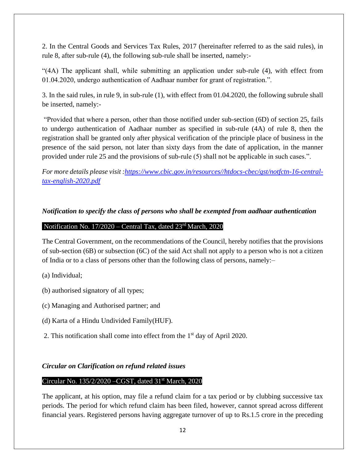2. In the Central Goods and Services Tax Rules, 2017 (hereinafter referred to as the said rules), in rule 8, after sub-rule (4), the following sub-rule shall be inserted, namely:-

"(4A) The applicant shall, while submitting an application under sub-rule (4), with effect from 01.04.2020, undergo authentication of Aadhaar number for grant of registration.".

3. In the said rules, in rule 9, in sub-rule (1), with effect from 01.04.2020, the following subrule shall be inserted, namely:-

"Provided that where a person, other than those notified under sub-section (6D) of section 25, fails to undergo authentication of Aadhaar number as specified in sub-rule (4A) of rule 8, then the registration shall be granted only after physical verification of the principle place of business in the presence of the said person, not later than sixty days from the date of application, in the manner provided under rule 25 and the provisions of sub-rule (5) shall not be applicable in such cases.".

*For more details please visit [:https://www.cbic.gov.in/resources//htdocs-cbec/gst/notfctn-16-central](https://www.cbic.gov.in/resources/htdocs-cbec/gst/notfctn-16-central-tax-english-2020.pdf)[tax-english-2020.pdf](https://www.cbic.gov.in/resources/htdocs-cbec/gst/notfctn-16-central-tax-english-2020.pdf)*

#### *Notification to specify the class of persons who shall be exempted from aadhaar authentication*

### Notification No. 17/2020 – Central Tax, dated 23rd March, 2020

The Central Government, on the recommendations of the Council, hereby notifies that the provisions of sub-section (6B) or subsection (6C) of the said Act shall not apply to a person who is not a citizen of India or to a class of persons other than the following class of persons, namely:–

- (a) Individual;
- (b) authorised signatory of all types;
- (c) Managing and Authorised partner; and
- (d) Karta of a Hindu Undivided Family(HUF).
- 2. This notification shall come into effect from the  $1<sup>st</sup>$  day of April 2020.

#### *Circular on Clarification on refund related issues*

#### Circular No. 135/2/2020 –CGST, dated 31st March, 2020

The applicant, at his option, may file a refund claim for a tax period or by clubbing successive tax periods. The period for which refund claim has been filed, however, cannot spread across different financial years. Registered persons having aggregate turnover of up to Rs.1.5 crore in the preceding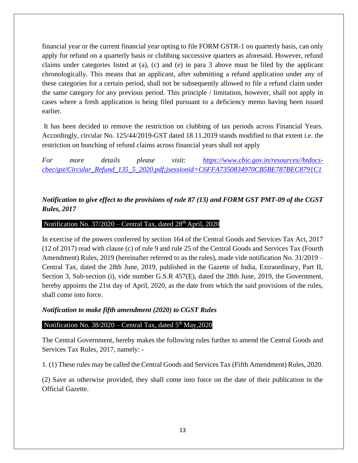financial year or the current financial year opting to file FORM GSTR-1 on quarterly basis, can only apply for refund on a quarterly basis or clubbing successive quarters as aforesaid. However, refund claims under categories listed at (a), (c) and (e) in para 3 above must be filed by the applicant chronologically. This means that an applicant, after submitting a refund application under any of these categories for a certain period, shall not be subsequently allowed to file a refund claim under the same category for any previous period. This principle / limitation, however, shall not apply in cases where a fresh application is being filed pursuant to a deficiency memo having been issued earlier.

It has been decided to remove the restriction on clubbing of tax periods across Financial Years. Accordingly, circular No. 125/44/2019-GST dated 18.11.2019 stands modified to that extent i.e. the restriction on bunching of refund claims across financial years shall not apply

*For more details please visit: [https://www.cbic.gov.in/resources//htdocs](https://www.cbic.gov.in/resources/htdocs-cbec/gst/Circular_Refund_135_5_2020.pdf;jsessionid=C6FFA7350834970CB5BE787BEC8791C1)[cbec/gst/Circular\\_Refund\\_135\\_5\\_2020.pdf;jsessionid=C6FFA7350834970CB5BE787BEC8791C1](https://www.cbic.gov.in/resources/htdocs-cbec/gst/Circular_Refund_135_5_2020.pdf;jsessionid=C6FFA7350834970CB5BE787BEC8791C1)*

### *Notification to give effect to the provisions of rule 87 (13) and FORM GST PMT-09 of the CGST Rules, 2017*

#### Notification No.  $37/2020$  – Central Tax, dated  $28<sup>th</sup>$  April, 2020

In exercise of the powers conferred by section 164 of the Central Goods and Services Tax Act, 2017 (12 of 2017) read with clause (c) of rule 9 and rule 25 of the Central Goods and Services Tax (Fourth Amendment) Rules, 2019 (hereinafter referred to as the rules), made vide notification No. 31/2019 – Central Tax, dated the 28th June, 2019, published in the Gazette of India, Extraordinary, Part II, Section 3, Sub-section (i), vide number G.S.R 457(E), dated the 28th June, 2019, the Government, hereby appoints the 21st day of April, 2020, as the date from which the said provisions of the rules, shall come into force.

#### *Notification to make fifth amendment (2020) to CGST Rules*

#### Notification No.  $38/2020$  – Central Tax, dated  $5<sup>th</sup>$  May, 2020

The Central Government, hereby makes the following rules further to amend the Central Goods and Services Tax Rules, 2017, namely: -

1. (1) These rules may be called the Central Goods and Services Tax (Fifth Amendment) Rules, 2020.

(2) Save as otherwise provided, they shall come into force on the date of their publication in the Official Gazette.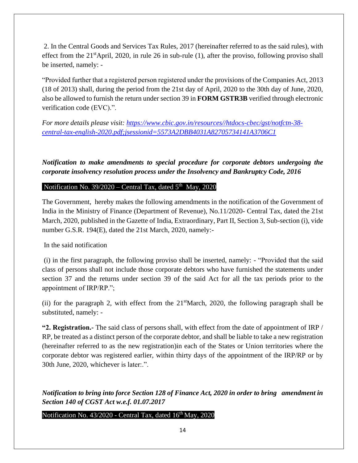2. In the Central Goods and Services Tax Rules, 2017 (hereinafter referred to as the said rules), with effect from the  $21<sup>st</sup>$ April, 2020, in rule 26 in sub-rule (1), after the proviso, following proviso shall be inserted, namely: -

"Provided further that a registered person registered under the provisions of the Companies Act, 2013 (18 of 2013) shall, during the period from the 21st day of April, 2020 to the 30th day of June, 2020, also be allowed to furnish the return under section 39 in **FORM GSTR3B** verified through electronic verification code (EVC).".

*For more details please visit: [https://www.cbic.gov.in/resources//htdocs-cbec/gst/notfctn-38](https://www.cbic.gov.in/resources/htdocs-cbec/gst/notfctn-38-central-tax-english-2020.pdf;jsessionid=5573A2DBB4031A82705734141A3706C1) [central-tax-english-2020.pdf;jsessionid=5573A2DBB4031A82705734141A3706C1](https://www.cbic.gov.in/resources/htdocs-cbec/gst/notfctn-38-central-tax-english-2020.pdf;jsessionid=5573A2DBB4031A82705734141A3706C1)*

*Notification to make amendments to special procedure for corporate debtors undergoing the corporate insolvency resolution process under the Insolvency and Bankruptcy Code, 2016*

#### Notification No.  $39/2020$  – Central Tax, dated  $5<sup>th</sup>$  May, 2020

The Government, hereby makes the following amendments in the notification of the Government of India in the Ministry of Finance (Department of Revenue), No.11/2020- Central Tax, dated the 21st March, 2020, published in the Gazette of India, Extraordinary, Part II, Section 3, Sub-section (i), vide number G.S.R. 194(E), dated the 21st March, 2020, namely:-

In the said notification

(i) in the first paragraph, the following proviso shall be inserted, namely: - "Provided that the said class of persons shall not include those corporate debtors who have furnished the statements under section 37 and the returns under section 39 of the said Act for all the tax periods prior to the appointment of IRP/RP.";

(ii) for the paragraph 2, with effect from the 21stMarch, 2020, the following paragraph shall be substituted, namely: -

**"2. Registration.-** The said class of persons shall, with effect from the date of appointment of IRP / RP, be treated as a distinct person of the corporate debtor, and shall be liable to take a new registration (hereinafter referred to as the new registration)in each of the States or Union territories where the corporate debtor was registered earlier, within thirty days of the appointment of the IRP/RP or by 30th June, 2020, whichever is later:.".

*Notification to bring into force Section 128 of Finance Act, 2020 in order to bring amendment in Section 140 of CGST Act w.e.f. 01.07.2017*

Notification No.  $43/2020$  - Central Tax, dated  $16<sup>th</sup>$  May, 2020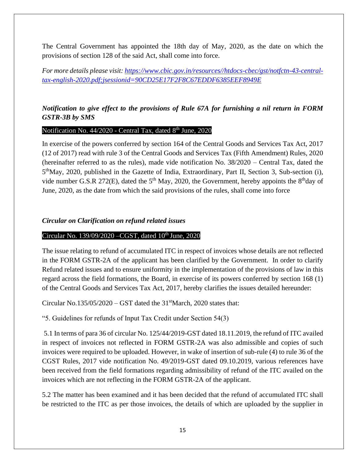The Central Government has appointed the 18th day of May, 2020, as the date on which the provisions of section 128 of the said Act, shall come into force.

*For more details please visit: [https://www.cbic.gov.in/resources//htdocs-cbec/gst/notfctn-43-central](https://www.cbic.gov.in/resources/htdocs-cbec/gst/notfctn-43-central-tax-english-2020.pdf;jsessionid=90CD25E17F2F8C67EDDF6385EEF8949E)[tax-english-2020.pdf;jsessionid=90CD25E17F2F8C67EDDF6385EEF8949E](https://www.cbic.gov.in/resources/htdocs-cbec/gst/notfctn-43-central-tax-english-2020.pdf;jsessionid=90CD25E17F2F8C67EDDF6385EEF8949E)*

### *Notification to give effect to the provisions of Rule 67A for furnishing a nil return in FORM GSTR-3B by SMS*

#### Notification No. 44/2020 - Central Tax, dated 8<sup>th</sup> June, 2020

In exercise of the powers conferred by section 164 of the Central Goods and Services Tax Act, 2017 (12 of 2017) read with rule 3 of the Central Goods and Services Tax (Fifth Amendment) Rules, 2020 (hereinafter referred to as the rules), made vide notification No. 38/2020 – Central Tax, dated the 5<sup>th</sup>May, 2020, published in the Gazette of India, Extraordinary, Part II, Section 3, Sub-section (i), vide number G.S.R 272(E), dated the  $5<sup>th</sup>$  May, 2020, the Government, hereby appoints the  $8<sup>th</sup>$ day of June, 2020, as the date from which the said provisions of the rules, shall come into force

#### *Circular on Clarification on refund related issues*

#### Circular No. 139/09/2020 – CGST, dated  $10<sup>th</sup>$  June, 2020

The issue relating to refund of accumulated ITC in respect of invoices whose details are not reflected in the FORM GSTR-2A of the applicant has been clarified by the Government. In order to clarify Refund related issues and to ensure uniformity in the implementation of the provisions of law in this regard across the field formations, the Board, in exercise of its powers conferred by section 168 (1) of the Central Goods and Services Tax Act, 2017, hereby clarifies the issues detailed hereunder:

Circular No.135/05/2020 – GST dated the  $31<sup>st</sup>March$ , 2020 states that:

"5. Guidelines for refunds of Input Tax Credit under Section 54(3)

5.1 In terms of para 36 of circular No. 125/44/2019-GST dated 18.11.2019, the refund of ITC availed in respect of invoices not reflected in FORM GSTR-2A was also admissible and copies of such invoices were required to be uploaded. However, in wake of insertion of sub-rule (4) to rule 36 of the CGST Rules, 2017 vide notification No. 49/2019-GST dated 09.10.2019, various references have been received from the field formations regarding admissibility of refund of the ITC availed on the invoices which are not reflecting in the FORM GSTR-2A of the applicant.

5.2 The matter has been examined and it has been decided that the refund of accumulated ITC shall be restricted to the ITC as per those invoices, the details of which are uploaded by the supplier in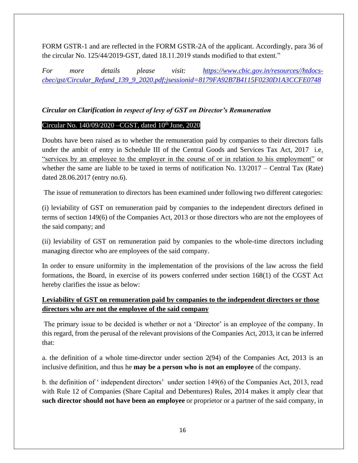FORM GSTR-1 and are reflected in the FORM GSTR-2A of the applicant. Accordingly, para 36 of the circular No. 125/44/2019-GST, dated 18.11.2019 stands modified to that extent."

*For more details please visit: [https://www.cbic.gov.in/resources//htdocs](https://www.cbic.gov.in/resources/htdocs-cbec/gst/Circular_Refund_139_9_2020.pdf;jsessionid=8179FA92B7B4115F0230D1A3CCFE0748)[cbec/gst/Circular\\_Refund\\_139\\_9\\_2020.pdf;jsessionid=8179FA92B7B4115F0230D1A3CCFE0748](https://www.cbic.gov.in/resources/htdocs-cbec/gst/Circular_Refund_139_9_2020.pdf;jsessionid=8179FA92B7B4115F0230D1A3CCFE0748)*

#### *Circular on Clarification in respect of levy of GST on Director's Remuneration*

#### Circular No.  $140/09/2020$  –CGST, dated  $10<sup>th</sup>$  June, 2020

Doubts have been raised as to whether the remuneration paid by companies to their directors falls under the ambit of entry in Schedule III of the Central Goods and Services Tax Act, 2017 i.e. "services by an employee to the employer in the course of or in relation to his employment" or whether the same are liable to be taxed in terms of notification No. 13/2017 – Central Tax (Rate) dated 28.06.2017 (entry no.6).

The issue of remuneration to directors has been examined under following two different categories:

(i) leviability of GST on remuneration paid by companies to the independent directors defined in terms of section 149(6) of the Companies Act, 2013 or those directors who are not the employees of the said company; and

(ii) leviability of GST on remuneration paid by companies to the whole-time directors including managing director who are employees of the said company.

In order to ensure uniformity in the implementation of the provisions of the law across the field formations, the Board, in exercise of its powers conferred under section 168(1) of the CGST Act hereby clarifies the issue as below:

### **Leviability of GST on remuneration paid by companies to the independent directors or those directors who are not the employee of the said company**

The primary issue to be decided is whether or not a 'Director' is an employee of the company. In this regard, from the perusal of the relevant provisions of the Companies Act, 2013, it can be inferred that:

a. the definition of a whole time-director under section 2(94) of the Companies Act, 2013 is an inclusive definition, and thus he **may be a person who is not an employee** of the company.

b. the definition of ' independent directors' under section 149(6) of the Companies Act, 2013, read with Rule 12 of Companies (Share Capital and Debentures) Rules, 2014 makes it amply clear that **such director should not have been an employee** or proprietor or a partner of the said company, in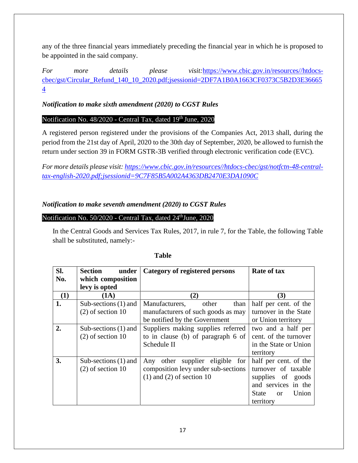any of the three financial years immediately preceding the financial year in which he is proposed to be appointed in the said company.

*For more details please visit:*[https://www.cbic.gov.in/resources//htdocs](https://www.cbic.gov.in/resources/htdocs-cbec/gst/Circular_%20Refund_%20140_10_2020.pdf;jsessionid=2DF7A1B0A1663CF0373C5B2D3E366654)[cbec/gst/Circular\\_Refund\\_140\\_10\\_2020.pdf;jsessionid=2DF7A1B0A1663CF0373C5B2D3E36665](https://www.cbic.gov.in/resources/htdocs-cbec/gst/Circular_%20Refund_%20140_10_2020.pdf;jsessionid=2DF7A1B0A1663CF0373C5B2D3E366654) [4](https://www.cbic.gov.in/resources/htdocs-cbec/gst/Circular_%20Refund_%20140_10_2020.pdf;jsessionid=2DF7A1B0A1663CF0373C5B2D3E366654)

### *Notification to make sixth amendment (2020) to CGST Rules*

### Notification No. 48/2020 - Central Tax, dated 19<sup>th</sup> June, 2020

A registered person registered under the provisions of the Companies Act, 2013 shall, during the period from the 21st day of April, 2020 to the 30th day of September, 2020, be allowed to furnish the return under section 39 in FORM GSTR-3B verified through electronic verification code (EVC).

*For more details please visit: [https://www.cbic.gov.in/resources//htdocs-cbec/gst/notfctn-48-central](https://www.cbic.gov.in/resources/htdocs-cbec/gst/notfctn-48-central-tax-english-2020.pdf;jsessionid=9C7F85B5A002A4363DB2470E3DA1090C)[tax-english-2020.pdf;jsessionid=9C7F85B5A002A4363DB2470E3DA1090C](https://www.cbic.gov.in/resources/htdocs-cbec/gst/notfctn-48-central-tax-english-2020.pdf;jsessionid=9C7F85B5A002A4363DB2470E3DA1090C)*

### *Notification to make seventh amendment (2020) to CGST Rules*

#### Notification No. 50/2020 - Central Tax, dated 24<sup>th</sup>June, 2020

In the Central Goods and Services Tax Rules, 2017, in rule 7, for the Table, the following Table shall be substituted, namely:-

| SI.<br>No.       | Section<br>under<br>which composition         | Category of registered persons                                                                          | <b>Rate of tax</b>                                                                                                                  |
|------------------|-----------------------------------------------|---------------------------------------------------------------------------------------------------------|-------------------------------------------------------------------------------------------------------------------------------------|
|                  | levy is opted                                 |                                                                                                         |                                                                                                                                     |
| (1)              | (1A)                                          | (2)                                                                                                     | (3)                                                                                                                                 |
| 1.               | Sub-sections $(1)$ and<br>$(2)$ of section 10 | Manufacturers,<br>other<br>than<br>manufacturers of such goods as may<br>be notified by the Government  | half per cent. of the<br>turnover in the State<br>or Union territory                                                                |
| $\overline{2}$ . | Sub-sections $(1)$ and<br>$(2)$ of section 10 | Suppliers making supplies referred<br>to in clause (b) of paragraph 6 of<br>Schedule II                 | two and a half per<br>cent. of the turnover<br>in the State or Union<br>territory                                                   |
| 3.               | Sub-sections $(1)$ and<br>$(2)$ of section 10 | Any other supplier eligible for<br>composition levy under sub-sections<br>$(1)$ and $(2)$ of section 10 | half per cent. of the<br>turnover of taxable<br>supplies of goods<br>and services in the<br>State<br>Union<br>$\alpha$<br>territory |

#### **Table**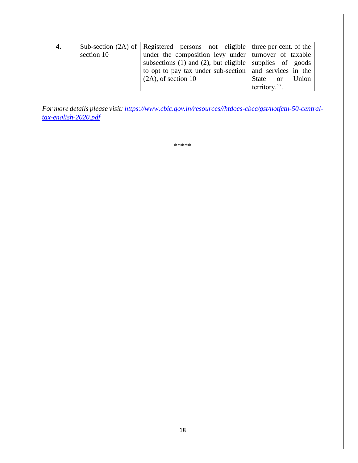| 4. |            | Sub-section (2A) of Registered persons not eligible three per cent. of the |                |
|----|------------|----------------------------------------------------------------------------|----------------|
|    | section 10 | under the composition levy under urnover of taxable                        |                |
|    |            | subsections (1) and (2), but eligible supplies of goods                    |                |
|    |            | to opt to pay tax under sub-section $\vert$ and services in the            |                |
|    |            | $(2A)$ , of section 10                                                     | State or Union |
|    |            |                                                                            | territory.".   |

*For more details please visit: [https://www.cbic.gov.in/resources//htdocs-cbec/gst/notfctn-50-central](https://www.cbic.gov.in/resources/htdocs-cbec/gst/notfctn-50-central-tax-english-2020.pdf)[tax-english-2020.pdf](https://www.cbic.gov.in/resources/htdocs-cbec/gst/notfctn-50-central-tax-english-2020.pdf)*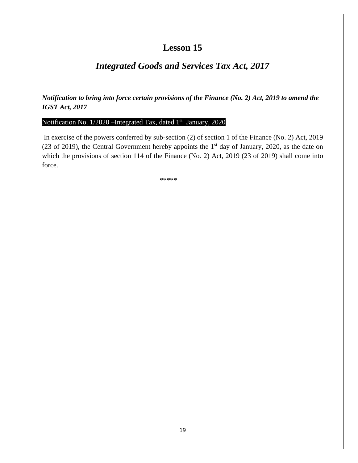## *Integrated Goods and Services Tax Act, 2017*

*Notification to bring into force certain provisions of the Finance (No. 2) Act, 2019 to amend the IGST Act, 2017*

#### Notification No. 1/2020 - Integrated Tax, dated 1<sup>st</sup> January, 2020

In exercise of the powers conferred by sub-section (2) of section 1 of the Finance (No. 2) Act, 2019 (23 of 2019), the Central Government hereby appoints the  $1<sup>st</sup>$  day of January, 2020, as the date on which the provisions of section 114 of the Finance (No. 2) Act, 2019 (23 of 2019) shall come into force.

 $*******$